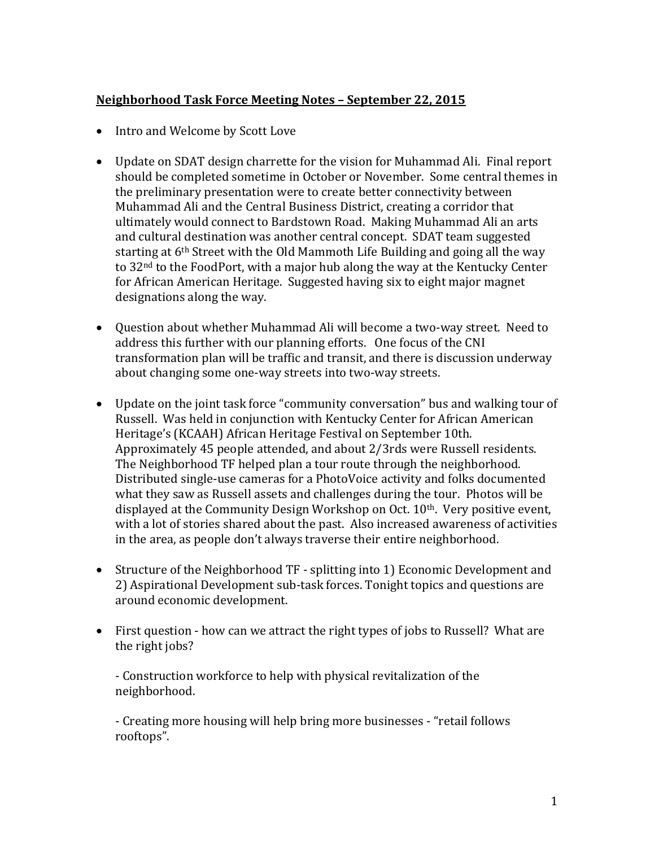## **Neighborhood Task Force Meeting Notes – September 22, 2015**

- Intro and Welcome by Scott Love
- Update on SDAT design charrette for the vision for Muhammad Ali. Final report should be completed sometime in October or November. Some central themes in the preliminary presentation were to create better connectivity between Muhammad Ali and the Central Business District, creating a corridor that ultimately would connect to Bardstown Road. Making Muhammad Ali an arts and cultural destination was another central concept. SDAT team suggested starting at 6th Street with the Old Mammoth Life Building and going all the way to 32nd to the FoodPort, with a major hub along the way at the Kentucky Center for African American Heritage. Suggested having six to eight major magnet designations along the way.
- Question about whether Muhammad Ali will become a two-way street. Need to address this further with our planning efforts. One focus of the CNI transformation plan will be traffic and transit, and there is discussion underway about changing some one-way streets into two-way streets.
- Update on the joint task force "community conversation" bus and walking tour of Russell. Was held in conjunction with Kentucky Center for African American Heritage's (KCAAH) African Heritage Festival on September 10th. Approximately 45 people attended, and about 2/3rds were Russell residents. The Neighborhood TF helped plan a tour route through the neighborhood. Distributed single-use cameras for a PhotoVoice activity and folks documented what they saw as Russell assets and challenges during the tour. Photos will be displayed at the Community Design Workshop on Oct. 10th. Very positive event, with a lot of stories shared about the past. Also increased awareness of activities in the area, as people don't always traverse their entire neighborhood.
- Structure of the Neighborhood TF splitting into 1) Economic Development and 2) Aspirational Development sub-task forces. Tonight topics and questions are around economic development.
- First question how can we attract the right types of jobs to Russell? What are the right jobs?

- Construction workforce to help with physical revitalization of the neighborhood.

- Creating more housing will help bring more businesses - "retail follows rooftops".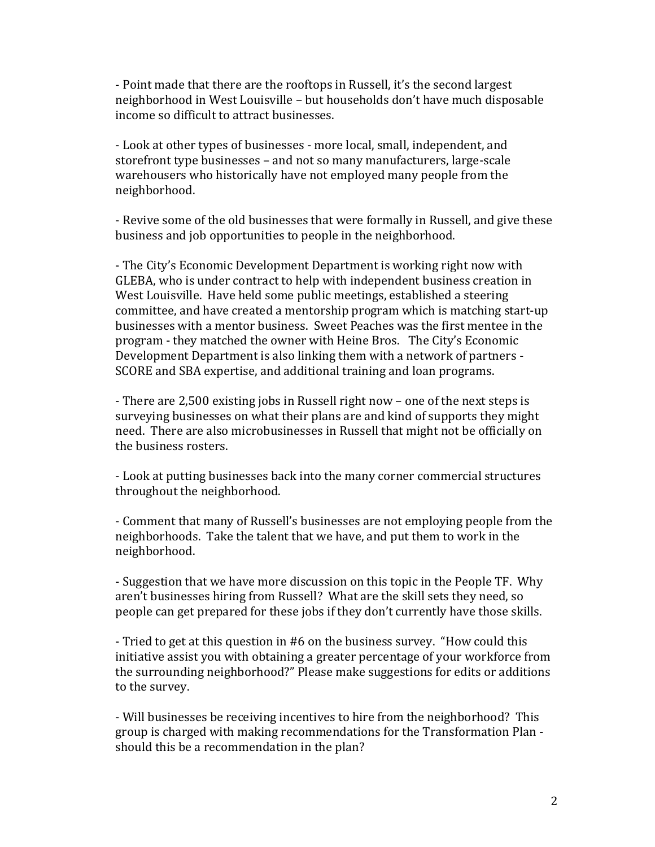- Point made that there are the rooftops in Russell, it's the second largest neighborhood in West Louisville – but households don't have much disposable income so difficult to attract businesses.

- Look at other types of businesses - more local, small, independent, and storefront type businesses – and not so many manufacturers, large-scale warehousers who historically have not employed many people from the neighborhood.

- Revive some of the old businesses that were formally in Russell, and give these business and job opportunities to people in the neighborhood.

- The City's Economic Development Department is working right now with GLEBA, who is under contract to help with independent business creation in West Louisville. Have held some public meetings, established a steering committee, and have created a mentorship program which is matching start-up businesses with a mentor business. Sweet Peaches was the first mentee in the program - they matched the owner with Heine Bros. The City's Economic Development Department is also linking them with a network of partners - SCORE and SBA expertise, and additional training and loan programs.

- There are 2,500 existing jobs in Russell right now – one of the next steps is surveying businesses on what their plans are and kind of supports they might need. There are also microbusinesses in Russell that might not be officially on the business rosters.

- Look at putting businesses back into the many corner commercial structures throughout the neighborhood.

- Comment that many of Russell's businesses are not employing people from the neighborhoods. Take the talent that we have, and put them to work in the neighborhood.

- Suggestion that we have more discussion on this topic in the People TF. Why aren't businesses hiring from Russell? What are the skill sets they need, so people can get prepared for these jobs if they don't currently have those skills.

- Tried to get at this question in #6 on the business survey. "How could this initiative assist you with obtaining a greater percentage of your workforce from the surrounding neighborhood?" Please make suggestions for edits or additions to the survey.

- Will businesses be receiving incentives to hire from the neighborhood? This group is charged with making recommendations for the Transformation Plan should this be a recommendation in the plan?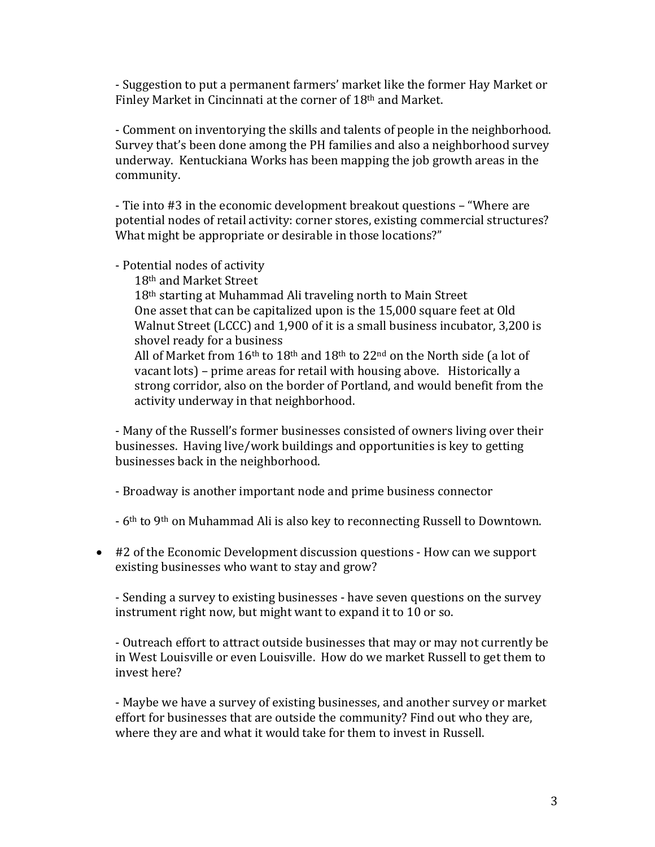- Suggestion to put a permanent farmers' market like the former Hay Market or Finley Market in Cincinnati at the corner of 18th and Market.

- Comment on inventorying the skills and talents of people in the neighborhood. Survey that's been done among the PH families and also a neighborhood survey underway. Kentuckiana Works has been mapping the job growth areas in the community.

- Tie into #3 in the economic development breakout questions – "Where are potential nodes of retail activity: corner stores, existing commercial structures? What might be appropriate or desirable in those locations?"

- Potential nodes of activity

18th and Market Street

18<sup>th</sup> starting at Muhammad Ali traveling north to Main Street One asset that can be capitalized upon is the 15,000 square feet at Old Walnut Street (LCCC) and 1,900 of it is a small business incubator, 3,200 is shovel ready for a business

All of Market from  $16<sup>th</sup>$  to  $18<sup>th</sup>$  and  $18<sup>th</sup>$  to  $22<sup>nd</sup>$  on the North side (a lot of vacant lots) – prime areas for retail with housing above. Historically a strong corridor, also on the border of Portland, and would benefit from the activity underway in that neighborhood.

- Many of the Russell's former businesses consisted of owners living over their businesses. Having live/work buildings and opportunities is key to getting businesses back in the neighborhood.

- Broadway is another important node and prime business connector

- 6th to 9th on Muhammad Ali is also key to reconnecting Russell to Downtown.

• #2 of the Economic Development discussion questions - How can we support existing businesses who want to stay and grow?

- Sending a survey to existing businesses - have seven questions on the survey instrument right now, but might want to expand it to 10 or so.

- Outreach effort to attract outside businesses that may or may not currently be in West Louisville or even Louisville. How do we market Russell to get them to invest here?

- Maybe we have a survey of existing businesses, and another survey or market effort for businesses that are outside the community? Find out who they are, where they are and what it would take for them to invest in Russell.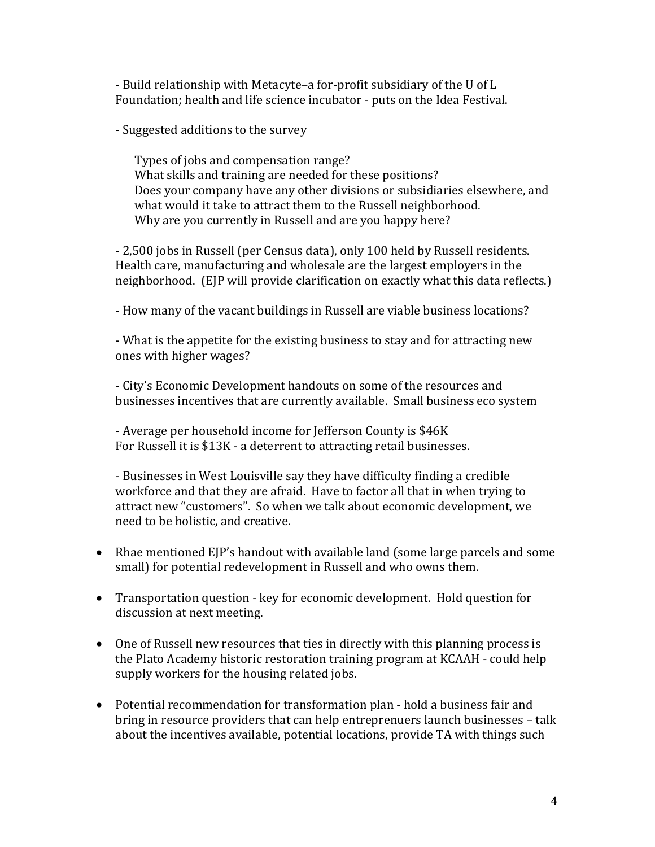- Build relationship with Metacyte–a for-profit subsidiary of the U of L Foundation; health and life science incubator - puts on the Idea Festival.

- Suggested additions to the survey

Types of jobs and compensation range? What skills and training are needed for these positions? Does your company have any other divisions or subsidiaries elsewhere, and what would it take to attract them to the Russell neighborhood. Why are you currently in Russell and are you happy here?

- 2,500 jobs in Russell (per Census data), only 100 held by Russell residents. Health care, manufacturing and wholesale are the largest employers in the neighborhood. (EJP will provide clarification on exactly what this data reflects.)

- How many of the vacant buildings in Russell are viable business locations?

- What is the appetite for the existing business to stay and for attracting new ones with higher wages?

- City's Economic Development handouts on some of the resources and businesses incentives that are currently available. Small business eco system

- Average per household income for Jefferson County is \$46K For Russell it is \$13K - a deterrent to attracting retail businesses.

- Businesses in West Louisville say they have difficulty finding a credible workforce and that they are afraid. Have to factor all that in when trying to attract new "customers". So when we talk about economic development, we need to be holistic, and creative.

- Rhae mentioned EJP's handout with available land (some large parcels and some small) for potential redevelopment in Russell and who owns them.
- Transportation question key for economic development. Hold question for discussion at next meeting.
- One of Russell new resources that ties in directly with this planning process is the Plato Academy historic restoration training program at KCAAH - could help supply workers for the housing related jobs.
- Potential recommendation for transformation plan hold a business fair and bring in resource providers that can help entreprenuers launch businesses – talk about the incentives available, potential locations, provide TA with things such